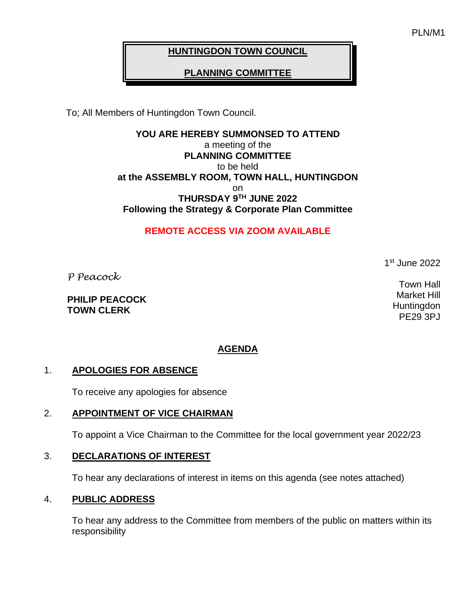PLN/M1

# **HUNTINGDON TOWN COUNCIL**

# **PLANNING COMMITTEE**

To; All Members of Huntingdon Town Council.

**YOU ARE HEREBY SUMMONSED TO ATTEND** a meeting of the **PLANNING COMMITTEE** to be held **at the ASSEMBLY ROOM, TOWN HALL, HUNTINGDON** on **THURSDAY 9 TH JUNE 2022 Following the Strategy & Corporate Plan Committee**

# **REMOTE ACCESS VIA ZOOM AVAILABLE**

1 st June 2022

Town Hall Market Hill **Huntingdon** PE29 3PJ

*P Peacock*

**PHILIP PEACOCK TOWN CLERK**

# **AGENDA**

#### 1. **APOLOGIES FOR ABSENCE**

To receive any apologies for absence

#### 2. **APPOINTMENT OF VICE CHAIRMAN**

To appoint a Vice Chairman to the Committee for the local government year 2022/23

#### 3. **DECLARATIONS OF INTEREST**

To hear any declarations of interest in items on this agenda (see notes attached)

#### 4. **PUBLIC ADDRESS**

To hear any address to the Committee from members of the public on matters within its responsibility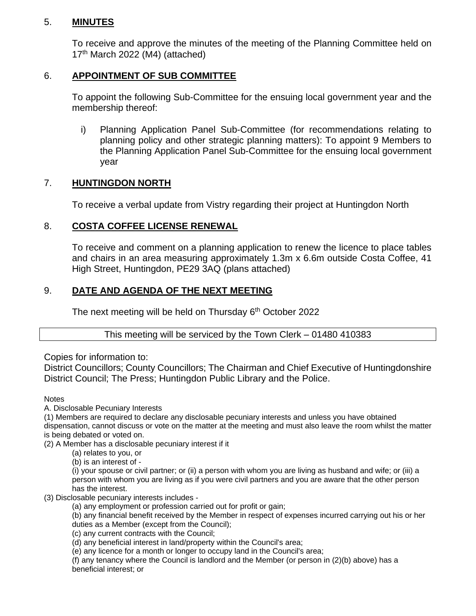### 5. **MINUTES**

To receive and approve the minutes of the meeting of the Planning Committee held on 17th March 2022 (M4) (attached)

### 6. **APPOINTMENT OF SUB COMMITTEE**

To appoint the following Sub-Committee for the ensuing local government year and the membership thereof:

i) Planning Application Panel Sub-Committee (for recommendations relating to planning policy and other strategic planning matters): To appoint 9 Members to the Planning Application Panel Sub-Committee for the ensuing local government year

# 7. **HUNTINGDON NORTH**

To receive a verbal update from Vistry regarding their project at Huntingdon North

# 8. **COSTA COFFEE LICENSE RENEWAL**

To receive and comment on a planning application to renew the licence to place tables and chairs in an area measuring approximately 1.3m x 6.6m outside Costa Coffee, 41 High Street, Huntingdon, PE29 3AQ (plans attached)

# 9. **DATE AND AGENDA OF THE NEXT MEETING**

The next meeting will be held on Thursday  $6<sup>th</sup>$  October 2022

### This meeting will be serviced by the Town Clerk – 01480 410383

Copies for information to:

District Councillors; County Councillors; The Chairman and Chief Executive of Huntingdonshire District Council; The Press; Huntingdon Public Library and the Police.

#### **Notes**

A. Disclosable Pecuniary Interests

(1) Members are required to declare any disclosable pecuniary interests and unless you have obtained dispensation, cannot discuss or vote on the matter at the meeting and must also leave the room whilst the matter is being debated or voted on.

(2) A Member has a disclosable pecuniary interest if it

(a) relates to you, or

(b) is an interest of -

(i) your spouse or civil partner; or (ii) a person with whom you are living as husband and wife; or (iii) a person with whom you are living as if you were civil partners and you are aware that the other person has the interest.

#### (3) Disclosable pecuniary interests includes -

(a) any employment or profession carried out for profit or gain;

(b) any financial benefit received by the Member in respect of expenses incurred carrying out his or her duties as a Member (except from the Council);

(c) any current contracts with the Council;

(d) any beneficial interest in land/property within the Council's area;

(e) any licence for a month or longer to occupy land in the Council's area;

(f) any tenancy where the Council is landlord and the Member (or person in (2)(b) above) has a beneficial interest; or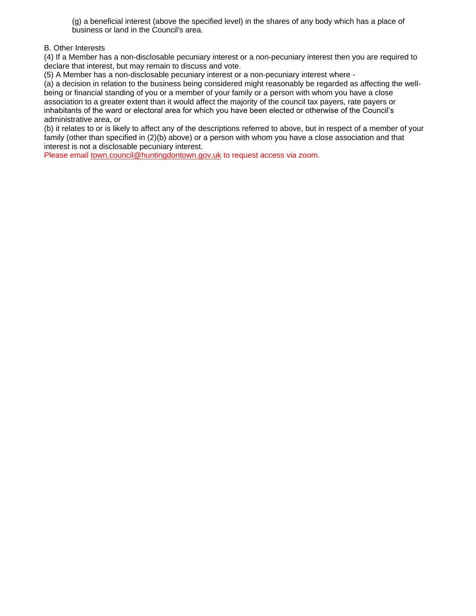(g) a beneficial interest (above the specified level) in the shares of any body which has a place of business or land in the Council's area.

#### B. Other Interests

(4) If a Member has a non-disclosable pecuniary interest or a non-pecuniary interest then you are required to declare that interest, but may remain to discuss and vote.

(5) A Member has a non-disclosable pecuniary interest or a non-pecuniary interest where -

(a) a decision in relation to the business being considered might reasonably be regarded as affecting the wellbeing or financial standing of you or a member of your family or a person with whom you have a close association to a greater extent than it would affect the majority of the council tax payers, rate payers or inhabitants of the ward or electoral area for which you have been elected or otherwise of the Council's administrative area, or

(b) it relates to or is likely to affect any of the descriptions referred to above, but in respect of a member of your family (other than specified in (2)(b) above) or a person with whom you have a close association and that interest is not a disclosable pecuniary interest.

Please emai[l town.council@huntingdontown.gov.uk](mailto:town.council@huntingdontown.gov.uk) to request access via zoom.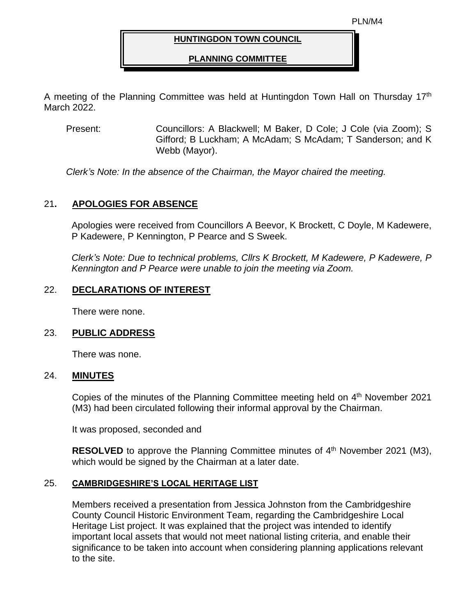#### **HUNTINGDON TOWN COUNCIL**

#### **PLANNING COMMITTEE**

A meeting of the Planning Committee was held at Huntingdon Town Hall on Thursday 17<sup>th</sup> March 2022.

Present: Councillors: A Blackwell; M Baker, D Cole; J Cole (via Zoom); S Gifford; B Luckham; A McAdam; S McAdam; T Sanderson; and K Webb (Mayor).

*Clerk's Note: In the absence of the Chairman, the Mayor chaired the meeting.* 

### 21**. APOLOGIES FOR ABSENCE**

Apologies were received from Councillors A Beevor, K Brockett, C Doyle, M Kadewere, P Kadewere, P Kennington, P Pearce and S Sweek.

*Clerk's Note: Due to technical problems, Cllrs K Brockett, M Kadewere, P Kadewere, P Kennington and P Pearce were unable to join the meeting via Zoom.* 

### 22. **DECLARATIONS OF INTEREST**

There were none.

#### 23. **PUBLIC ADDRESS**

There was none.

#### 24. **MINUTES**

Copies of the minutes of the Planning Committee meeting held on 4<sup>th</sup> November 2021 (M3) had been circulated following their informal approval by the Chairman.

It was proposed, seconded and

RESOLVED to approve the Planning Committee minutes of 4<sup>th</sup> November 2021 (M3), which would be signed by the Chairman at a later date.

#### 25. **CAMBRIDGESHIRE'S LOCAL HERITAGE LIST**

Members received a presentation from Jessica Johnston from the Cambridgeshire County Council Historic Environment Team, regarding the Cambridgeshire Local Heritage List project. It was explained that the project was intended to identify important local assets that would not meet national listing criteria, and enable their significance to be taken into account when considering planning applications relevant to the site.